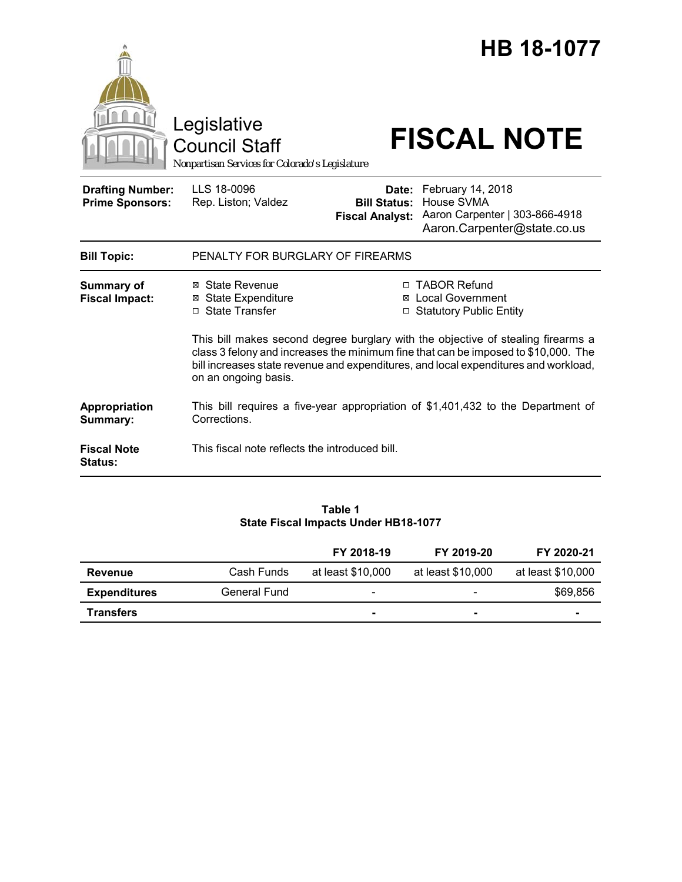

### **Table 1 State Fiscal Impacts Under HB18-1077**

|                     |              | FY 2018-19               | FY 2019-20               | FY 2020-21        |
|---------------------|--------------|--------------------------|--------------------------|-------------------|
| Revenue             | Cash Funds   | at least \$10,000        | at least \$10,000        | at least \$10,000 |
| <b>Expenditures</b> | General Fund | $\overline{\phantom{0}}$ | $\overline{\phantom{a}}$ | \$69,856          |
| <b>Transfers</b>    |              | ۰                        | $\blacksquare$           | $\blacksquare$    |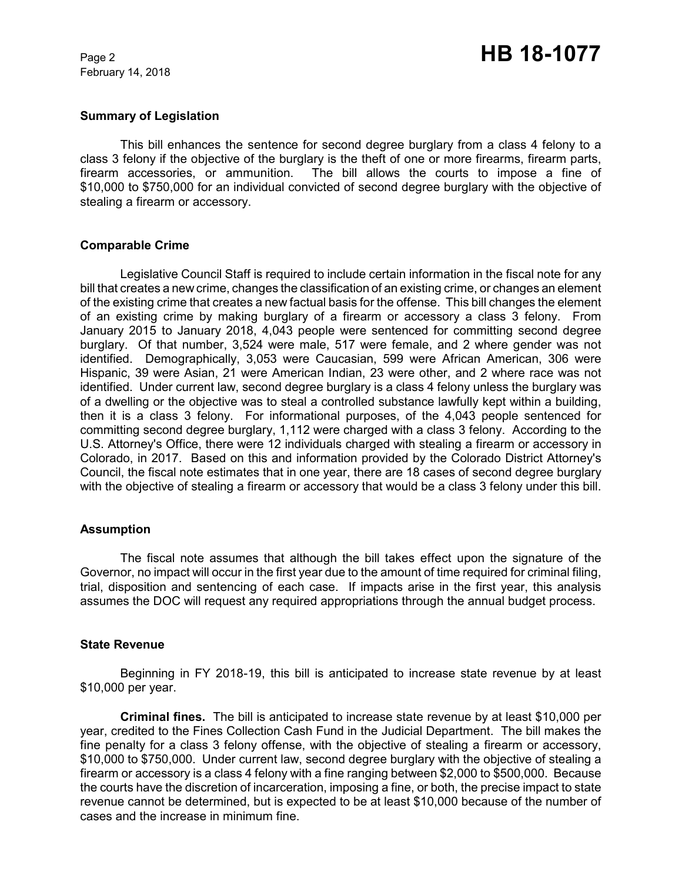February 14, 2018

### **Summary of Legislation**

This bill enhances the sentence for second degree burglary from a class 4 felony to a class 3 felony if the objective of the burglary is the theft of one or more firearms, firearm parts, firearm accessories, or ammunition. The bill allows the courts to impose a fine of \$10,000 to \$750,000 for an individual convicted of second degree burglary with the objective of stealing a firearm or accessory.

### **Comparable Crime**

Legislative Council Staff is required to include certain information in the fiscal note for any bill that creates a new crime, changes the classification of an existing crime, or changes an element of the existing crime that creates a new factual basis for the offense. This bill changes the element of an existing crime by making burglary of a firearm or accessory a class 3 felony. From January 2015 to January 2018, 4,043 people were sentenced for committing second degree burglary. Of that number, 3,524 were male, 517 were female, and 2 where gender was not identified. Demographically, 3,053 were Caucasian, 599 were African American, 306 were Hispanic, 39 were Asian, 21 were American Indian, 23 were other, and 2 where race was not identified. Under current law, second degree burglary is a class 4 felony unless the burglary was of a dwelling or the objective was to steal a controlled substance lawfully kept within a building, then it is a class 3 felony. For informational purposes, of the 4,043 people sentenced for committing second degree burglary, 1,112 were charged with a class 3 felony. According to the U.S. Attorney's Office, there were 12 individuals charged with stealing a firearm or accessory in Colorado, in 2017. Based on this and information provided by the Colorado District Attorney's Council, the fiscal note estimates that in one year, there are 18 cases of second degree burglary with the objective of stealing a firearm or accessory that would be a class 3 felony under this bill.

## **Assumption**

The fiscal note assumes that although the bill takes effect upon the signature of the Governor, no impact will occur in the first year due to the amount of time required for criminal filing, trial, disposition and sentencing of each case. If impacts arise in the first year, this analysis assumes the DOC will request any required appropriations through the annual budget process.

#### **State Revenue**

Beginning in FY 2018-19, this bill is anticipated to increase state revenue by at least \$10,000 per year.

**Criminal fines.** The bill is anticipated to increase state revenue by at least \$10,000 per year, credited to the Fines Collection Cash Fund in the Judicial Department. The bill makes the fine penalty for a class 3 felony offense, with the objective of stealing a firearm or accessory, \$10,000 to \$750,000. Under current law, second degree burglary with the objective of stealing a firearm or accessory is a class 4 felony with a fine ranging between \$2,000 to \$500,000. Because the courts have the discretion of incarceration, imposing a fine, or both, the precise impact to state revenue cannot be determined, but is expected to be at least \$10,000 because of the number of cases and the increase in minimum fine.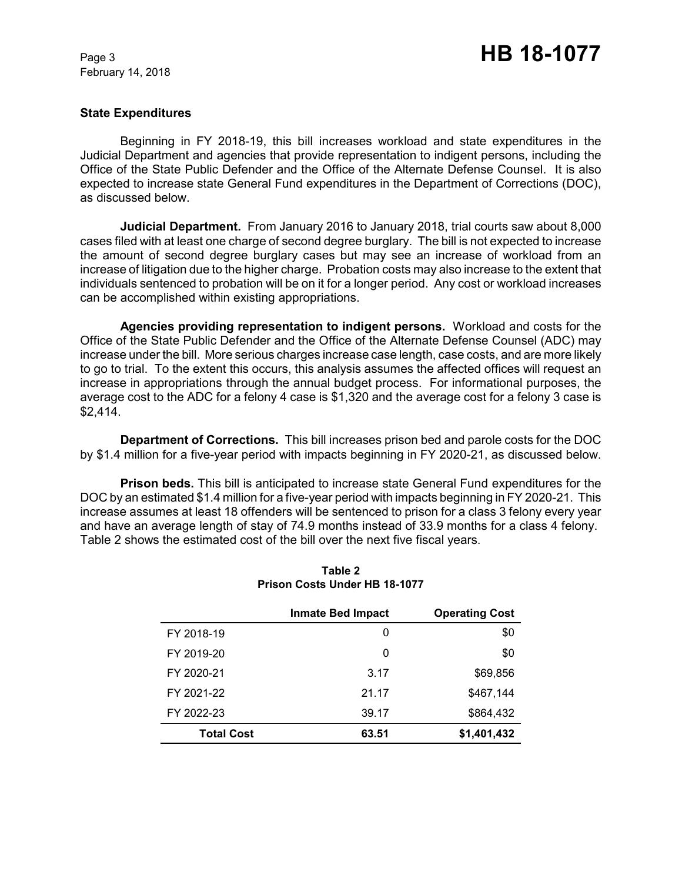February 14, 2018

## **State Expenditures**

Beginning in FY 2018-19, this bill increases workload and state expenditures in the Judicial Department and agencies that provide representation to indigent persons, including the Office of the State Public Defender and the Office of the Alternate Defense Counsel. It is also expected to increase state General Fund expenditures in the Department of Corrections (DOC), as discussed below.

**Judicial Department.** From January 2016 to January 2018, trial courts saw about 8,000 cases filed with at least one charge of second degree burglary. The bill is not expected to increase the amount of second degree burglary cases but may see an increase of workload from an increase of litigation due to the higher charge. Probation costs may also increase to the extent that individuals sentenced to probation will be on it for a longer period. Any cost or workload increases can be accomplished within existing appropriations.

**Agencies providing representation to indigent persons.** Workload and costs for the Office of the State Public Defender and the Office of the Alternate Defense Counsel (ADC) may increase under the bill. More serious charges increase case length, case costs, and are more likely to go to trial. To the extent this occurs, this analysis assumes the affected offices will request an increase in appropriations through the annual budget process. For informational purposes, the average cost to the ADC for a felony 4 case is \$1,320 and the average cost for a felony 3 case is \$2,414.

**Department of Corrections.** This bill increases prison bed and parole costs for the DOC by \$1.4 million for a five-year period with impacts beginning in FY 2020-21, as discussed below.

**Prison beds.** This bill is anticipated to increase state General Fund expenditures for the DOC by an estimated \$1.4 million for a five-year period with impacts beginning in FY 2020-21. This increase assumes at least 18 offenders will be sentenced to prison for a class 3 felony every year and have an average length of stay of 74.9 months instead of 33.9 months for a class 4 felony. Table 2 shows the estimated cost of the bill over the next five fiscal years.

|                   | <b>Inmate Bed Impact</b> | <b>Operating Cost</b> |
|-------------------|--------------------------|-----------------------|
| FY 2018-19        | 0                        | \$0                   |
| FY 2019-20        | 0                        | \$0                   |
| FY 2020-21        | 3.17                     | \$69,856              |
| FY 2021-22        | 21.17                    | \$467,144             |
| FY 2022-23        | 39.17                    | \$864,432             |
| <b>Total Cost</b> | 63.51                    | \$1,401,432           |

# **Table 2 Prison Costs Under HB 18-1077**